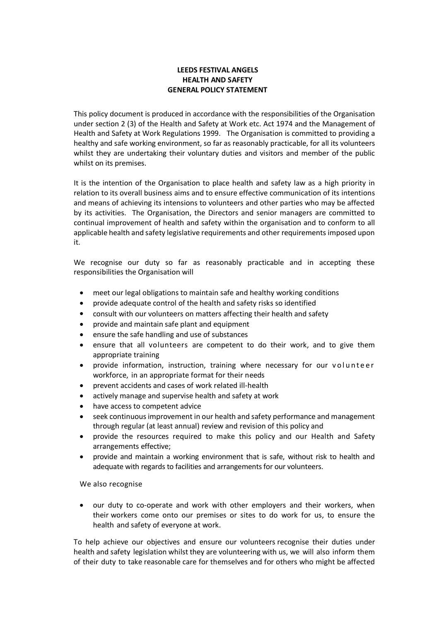## **LEEDS FESTIVAL ANGELS HEALTH AND SAFETY GENERAL POLICY STATEMENT**

This policy document is produced in accordance with the responsibilities of the Organisation under section 2 (3) of the Health and Safety at Work etc. Act 1974 and the Management of Health and Safety at Work Regulations 1999. The Organisation is committed to providing a healthy and safe working environment, so far as reasonably practicable, for all its volunteers whilst they are undertaking their voluntary duties and visitors and member of the public whilst on its premises.

It is the intention of the Organisation to place health and safety law as a high priority in relation to its overall business aims and to ensure effective communication of its intentions and means of achieving its intensions to volunteers and other parties who may be affected by its activities. The Organisation, the Directors and senior managers are committed to continual improvement of health and safety within the organisation and to conform to all applicable health and safety legislative requirements and other requirements imposed upon it.

We recognise our duty so far as reasonably practicable and in accepting these responsibilities the Organisation will

- meet our legal obligations to maintain safe and healthy working conditions
- provide adequate control of the health and safety risks so identified
- consult with our volunteers on matters affecting their health and safety
- provide and maintain safe plant and equipment
- ensure the safe handling and use of substances
- ensure that all volunteers are competent to do their work, and to give them appropriate training
- provide information, instruction, training where necessary for our volunteer workforce, in an appropriate format for their needs
- prevent accidents and cases of work related ill-health
- actively manage and supervise health and safety at work
- have access to competent advice
- seek continuousimprovement in our health and safety performance and management through regular (at least annual) review and revision of this policy and
- provide the resources required to make this policy and our Health and Safety arrangements effective;
- provide and maintain a working environment that is safe, without risk to health and adequate with regards to facilities and arrangements for our volunteers.

We also recognise

• our duty to co-operate and work with other employers and their workers, when their workers come onto our premises or sites to do work for us, to ensure the health and safety of everyone at work.

To help achieve our objectives and ensure our volunteers recognise their duties under health and safety legislation whilst they are volunteering with us, we will also inform them of their duty to take reasonable care for themselves and for others who might be affected